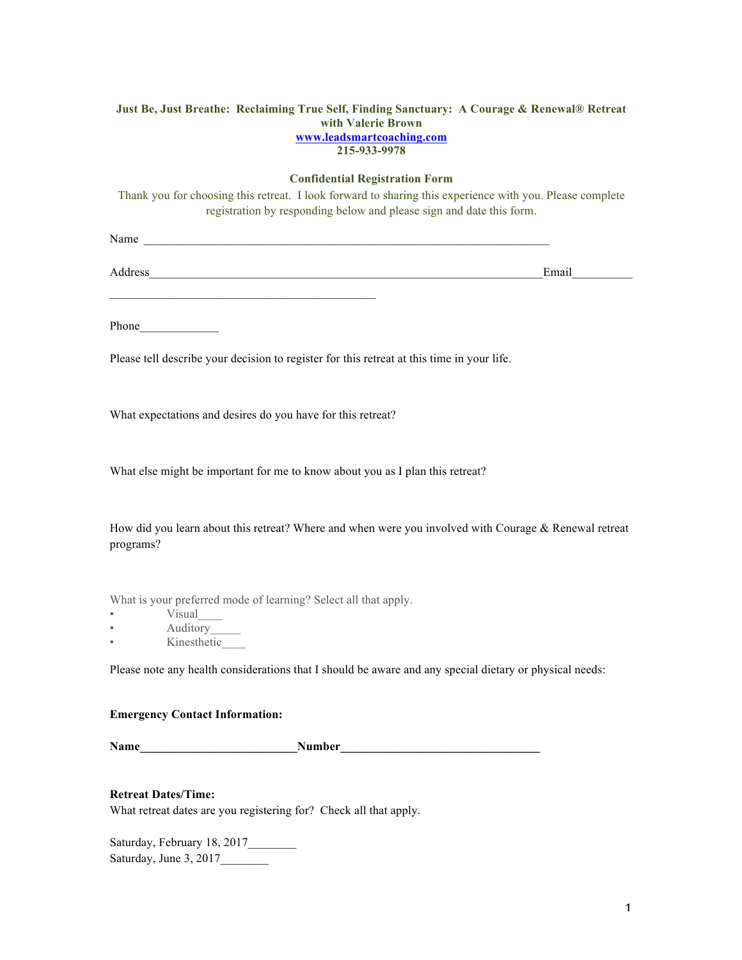#### **Just Be, Just Breathe: Reclaiming True Self, Finding Sanctuary: A Courage & Renewal® Retreat with Valerie Brown www.leadsmartcoaching.com 215-933-9978**

#### **Confidential Registration Form**

Thank you for choosing this retreat. I look forward to sharing this experience with you. Please complete registration by responding below and please sign and date this form.

Name

Address\_\_\_\_\_\_\_\_\_\_\_\_\_\_\_\_\_\_\_\_\_\_\_\_\_\_\_\_\_\_\_\_\_\_\_\_\_\_\_\_\_\_\_\_\_\_\_\_\_\_\_\_\_\_\_\_\_\_\_\_\_\_\_\_\_Email\_\_\_\_\_\_\_\_\_\_

Phone\_\_\_\_\_\_\_\_\_\_\_\_\_

Please tell describe your decision to register for this retreat at this time in your life.

What expectations and desires do you have for this retreat?

What else might be important for me to know about you as I plan this retreat?

How did you learn about this retreat? Where and when were you involved with Courage & Renewal retreat programs?

What is your preferred mode of learning? Select all that apply.

• Visual

• Auditory\_

• Kinesthetic

Please note any health considerations that I should be aware and any special dietary or physical needs:

#### **Emergency Contact Information:**

Name Number Number

# **Retreat Dates/Time:**

What retreat dates are you registering for? Check all that apply.

Saturday, February 18, 2017\_\_\_\_\_\_\_\_ Saturday, June 3, 2017